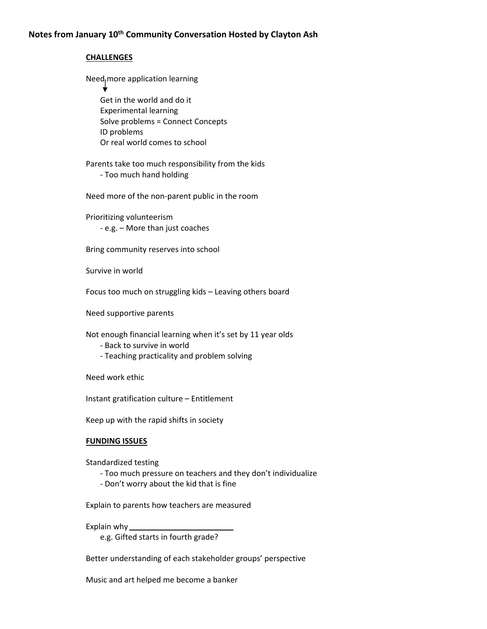## **CHALLENGES**

Need more application learning

 Get in the world and do it Experimental learning Solve problems = Connect Concepts ID problems Or real world comes to school

## Parents take too much responsibility from the kids ‐ Too much hand holding

Need more of the non‐parent public in the room

Prioritizing volunteerism ‐ e.g. – More than just coaches

Bring community reserves into school

Survive in world

Focus too much on struggling kids – Leaving others board

Need supportive parents

Not enough financial learning when it's set by 11 year olds

- ‐ Back to survive in world
- ‐ Teaching practicality and problem solving

Need work ethic

Instant gratification culture – Entitlement

Keep up with the rapid shifts in society

## **FUNDING ISSUES**

Standardized testing

- ‐ Too much pressure on teachers and they don't individualize
- ‐ Don't worry about the kid that is fine

Explain to parents how teachers are measured

Explain why\_

e.g. Gifted starts in fourth grade?

Better understanding of each stakeholder groups' perspective

Music and art helped me become a banker